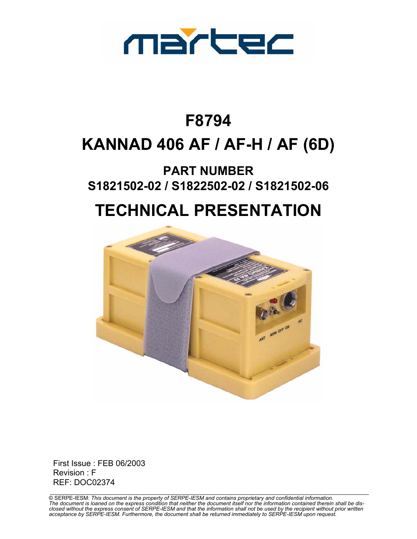

## **PART NUMBER S1821502-02 / S1822502-02 / S1821502-06**

## **TECHNICAL PRESENTATION**



First Issue : FEB 06/2003 Revision : F REF: DOC02374

© SERPE-IESM: This document is the property of SERPE-IESM and contains proprietary and confidential information.<br>The document is loaned on the express condition that neither the document itself nor the information containe *closed without the express consent of SERPE-IESM and that the information shall not be used by the recipient without prior written acceptance by SERPE-IESM. Furthermore, the document shall be returned immediately to SERPE-IESM upon request.*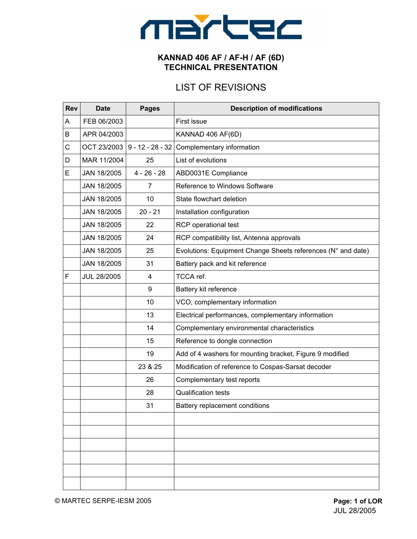

## LIST OF REVISIONS

| <b>Rev</b> | <b>Date</b>        | <b>Pages</b>  | <b>Description of modifications</b>                          |
|------------|--------------------|---------------|--------------------------------------------------------------|
| A          | FEB 06/2003        |               | First issue                                                  |
| B          | APR 04/2003        |               | KANNAD 406 AF(6D)                                            |
| C          | OCT 23/2003        |               | 9 - 12 - 28 - 32 Complementary information                   |
| D          | MAR 11/2004        | 25            | List of evolutions                                           |
| Е          | JAN 18/2005        | $4 - 26 - 28$ | ABD0031E Compliance                                          |
|            | JAN 18/2005        | 7             | Reference to Windows Software                                |
|            | JAN 18/2005        | 10            | State flowchart deletion                                     |
|            | JAN 18/2005        | $20 - 21$     | Installation configuration                                   |
|            | JAN 18/2005        | 22            | RCP operational test                                         |
|            | JAN 18/2005        | 24            | RCP compatibility list, Antenna approvals                    |
|            | JAN 18/2005        | 25            | Evolutions: Equipment Change Sheets references (N° and date) |
|            | JAN 18/2005        | 31            | Battery pack and kit reference                               |
| F          | <b>JUL 28/2005</b> | 4             | TCCA ref.                                                    |
|            |                    | 9             | Battery kit reference                                        |
|            |                    | 10            | VCO, complementary information                               |
|            |                    | 13            | Electrical performances, complementary information           |
|            |                    | 14            | Complementary environmental characteristics                  |
|            |                    | 15            | Reference to dongle connection                               |
|            |                    | 19            | Add of 4 washers for mounting bracket, Figure 9 modified     |
|            |                    | 23 & 25       | Modification of reference to Cospas-Sarsat decoder           |
|            |                    | 26            | Complementary test reports                                   |
|            |                    | 28            | <b>Qualification tests</b>                                   |
|            |                    | 31            | Battery replacement conditions                               |
|            |                    |               |                                                              |
|            |                    |               |                                                              |
|            |                    |               |                                                              |
|            |                    |               |                                                              |
|            |                    |               |                                                              |
|            |                    |               |                                                              |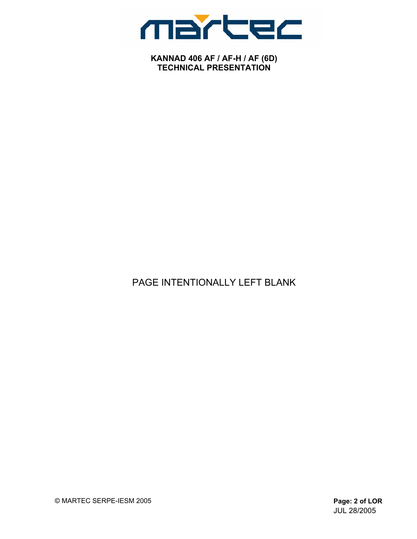

PAGE INTENTIONALLY LEFT BLANK

**Page: 2 of LOR** JUL 28/2005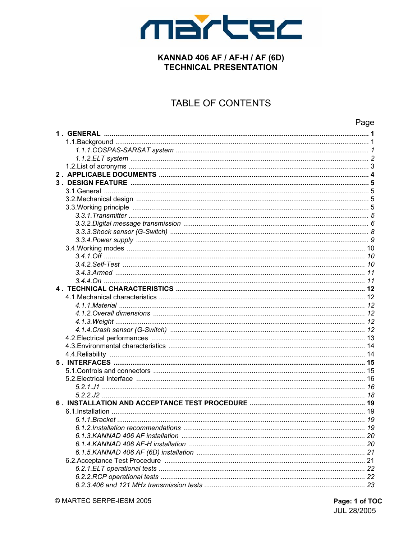

## **TABLE OF CONTENTS**

|  | 20 |  |
|--|----|--|
|  |    |  |
|  |    |  |
|  | 21 |  |
|  | 22 |  |
|  | 22 |  |
|  | 23 |  |

Page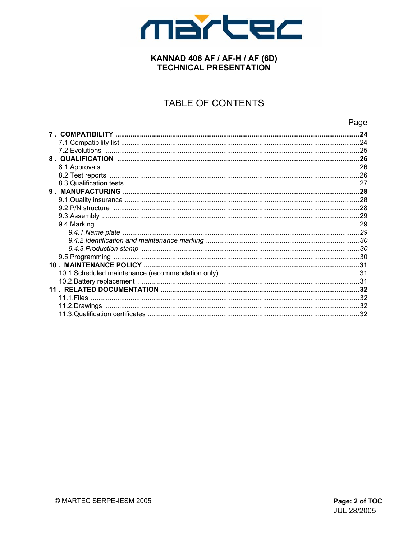

## **TABLE OF CONTENTS**

|                   | 24  |
|-------------------|-----|
|                   |     |
|                   |     |
|                   |     |
|                   |     |
|                   |     |
|                   |     |
|                   |     |
|                   |     |
|                   |     |
|                   |     |
|                   |     |
|                   |     |
|                   |     |
|                   |     |
|                   |     |
|                   |     |
|                   |     |
|                   |     |
|                   |     |
| <b>11.1.Files</b> |     |
|                   |     |
|                   | .32 |
|                   |     |

Page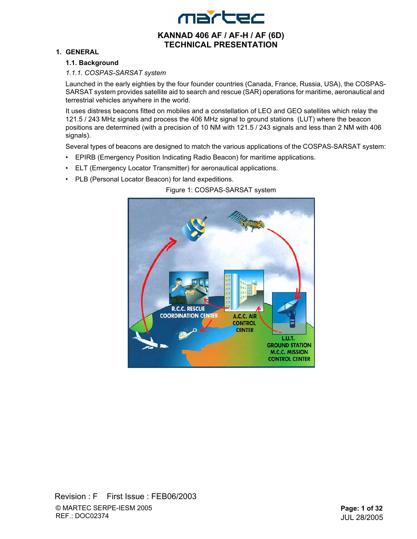

## **TECHNICAL PRESENTATION**

#### <span id="page-6-0"></span>**1. GENERAL**

#### <span id="page-6-1"></span>**1.1. Background**

#### <span id="page-6-2"></span>*1.1.1. COSPAS-SARSAT system*

Launched in the early eighties by the four founder countries (Canada, France, Russia, USA), the COSPAS-SARSAT system provides satellite aid to search and rescue (SAR) operations for maritime, aeronautical and terrestrial vehicles anywhere in the world.

It uses distress beacons fitted on mobiles and a constellation of LEO and GEO satellites which relay the 121.5 / 243 MHz signals and process the 406 MHz signal to ground stations (LUT) where the beacon positions are determined (with a precision of 10 NM with 121.5 / 243 signals and less than 2 NM with 406 signals).

Several types of beacons are designed to match the various applications of the COSPAS-SARSAT system:

- EPIRB (Emergency Position Indicating Radio Beacon) for maritime applications.
- ELT (Emergency Locator Transmitter) for aeronautical applications.
- PLB (Personal Locator Beacon) for land expeditions.

## **R.C.C. RESCUE COORDINATION CENTER** A.C.C. AIR **CONTROL CENTER** LU.T. **GROUND STATION M.C.C. MISSION CONTROL CENTER**

Figure 1: COSPAS-SARSAT system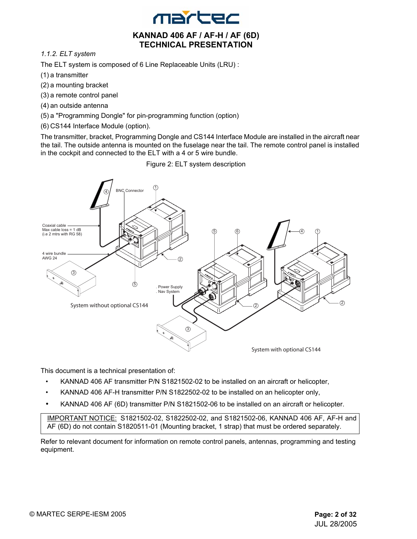

<span id="page-7-0"></span>*1.1.2. ELT system*

The ELT system is composed of 6 Line Replaceable Units (LRU) :

(1) a transmitter

(2) a mounting bracket

(3) a remote control panel

(4) an outside antenna

(5) a "Programming Dongle" for pin-programming function (option)

(6) CS144 Interface Module (option).

The transmitter, bracket, Programming Dongle and CS144 Interface Module are installed in the aircraft near the tail. The outside antenna is mounted on the fuselage near the tail. The remote control panel is installed in the cockpit and connected to the ELT with a 4 or 5 wire bundle.

Figure 2: ELT system description



This document is a technical presentation of:

- KANNAD 406 AF transmitter P/N S1821502-02 to be installed on an aircraft or helicopter,
- KANNAD 406 AF-H transmitter P/N S1822502-02 to be installed on an helicopter only,
- KANNAD 406 AF (6D) transmitter P/N S1821502-06 to be installed on an aircraft or helicopter.

IMPORTANT NOTICE: S1821502-02, S1822502-02, and S1821502-06, KANNAD 406 AF, AF-H and AF (6D) do not contain S1820511-01 (Mounting bracket, 1 strap) that must be ordered separately.

Refer to relevant document for information on remote control panels, antennas, programming and testing equipment.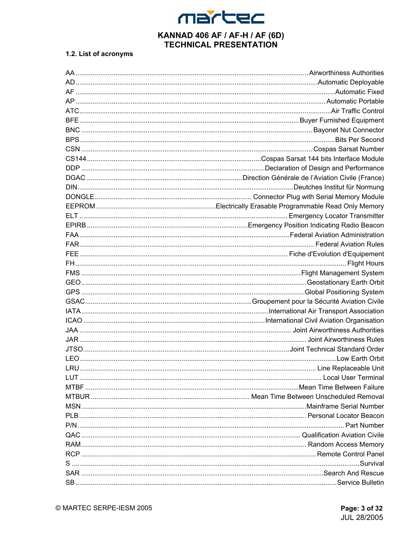

### <span id="page-8-0"></span>1.2. List of acronyms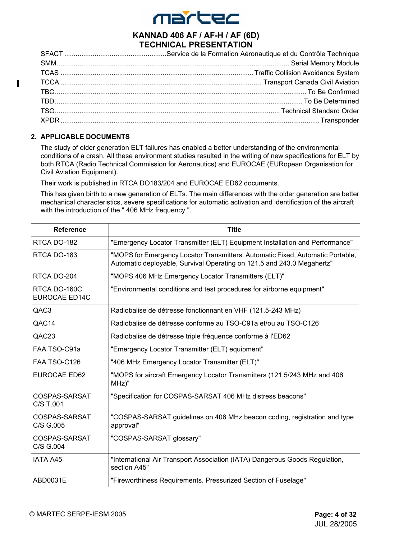

#### <span id="page-9-0"></span>**2. APPLICABLE DOCUMENTS**

 $\mathbf I$ 

The study of older generation ELT failures has enabled a better understanding of the environmental conditions of a crash. All these environment studies resulted in the writing of new specifications for ELT by both RTCA (Radio Technical Commission for Aeronautics) and EUROCAE (EURopean Organisation for Civil Aviation Equipment).

Their work is published in RTCA DO183/204 and EUROCAE ED62 documents.

This has given birth to a new generation of ELTs. The main differences with the older generation are better mechanical characteristics, severe specifications for automatic activation and identification of the aircraft with the introduction of the " 406 MHz frequency ".

| <b>Reference</b>                     | <b>Title</b>                                                                                                                                             |  |
|--------------------------------------|----------------------------------------------------------------------------------------------------------------------------------------------------------|--|
| RTCA DO-182                          | "Emergency Locator Transmitter (ELT) Equipment Installation and Performance"                                                                             |  |
| RTCA DO-183                          | "MOPS for Emergency Locator Transmitters. Automatic Fixed, Automatic Portable,<br>Automatic deployable, Survival Operating on 121.5 and 243.0 Megahertz" |  |
| RTCA DO-204                          | "MOPS 406 MHz Emergency Locator Transmitters (ELT)"                                                                                                      |  |
| RTCA DO-160C<br><b>EUROCAE ED14C</b> | "Environmental conditions and test procedures for airborne equipment"                                                                                    |  |
| QAC3                                 | Radiobalise de détresse fonctionnant en VHF (121.5-243 MHz)                                                                                              |  |
| QAC14                                | Radiobalise de détresse conforme au TSO-C91a et/ou au TSO-C126                                                                                           |  |
| QAC23                                | Radiobalise de détresse triple fréquence conforme à l'ED62                                                                                               |  |
| FAA TSO-C91a                         | "Emergency Locator Transmitter (ELT) equipment"                                                                                                          |  |
| FAA TSO-C126                         | "406 MHz Emergency Locator Transmitter (ELT)"                                                                                                            |  |
| EUROCAE ED62                         | "MOPS for aircraft Emergency Locator Transmitters (121,5/243 MHz and 406<br>MHz)"                                                                        |  |
| COSPAS-SARSAT<br>C/S T.001           | "Specification for COSPAS-SARSAT 406 MHz distress beacons"                                                                                               |  |
| COSPAS-SARSAT<br>C/S G.005           | "COSPAS-SARSAT guidelines on 406 MHz beacon coding, registration and type<br>approval"                                                                   |  |
| COSPAS-SARSAT<br>C/S G.004           | "COSPAS-SARSAT glossary"                                                                                                                                 |  |
| <b>IATA A45</b>                      | "International Air Transport Association (IATA) Dangerous Goods Regulation,<br>section A45"                                                              |  |
| ABD0031E                             | "Fireworthiness Requirements. Pressurized Section of Fuselage"                                                                                           |  |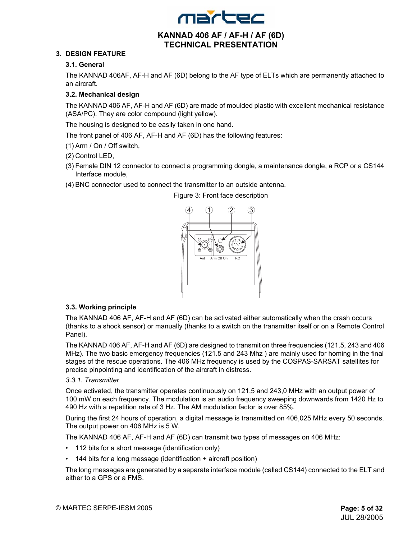

#### <span id="page-10-0"></span>**3. DESIGN FEATURE**

#### <span id="page-10-1"></span>**3.1. General**

The KANNAD 406AF, AF-H and AF (6D) belong to the AF type of ELTs which are permanently attached to an aircraft.

#### <span id="page-10-2"></span>**3.2. Mechanical design**

The KANNAD 406 AF, AF-H and AF (6D) are made of moulded plastic with excellent mechanical resistance (ASA/PC). They are color compound (light yellow).

The housing is designed to be easily taken in one hand.

The front panel of 406 AF, AF-H and AF (6D) has the following features:

(1) Arm / On / Off switch,

- (2) Control LED,
- (3) Female DIN 12 connector to connect a programming dongle, a maintenance dongle, a RCP or a CS144 Interface module,
- (4) BNC connector used to connect the transmitter to an outside antenna.

Figure 3: Front face description



#### <span id="page-10-3"></span>**3.3. Working principle**

The KANNAD 406 AF, AF-H and AF (6D) can be activated either automatically when the crash occurs (thanks to a shock sensor) or manually (thanks to a switch on the transmitter itself or on a Remote Control Panel).

The KANNAD 406 AF, AF-H and AF (6D) are designed to transmit on three frequencies (121.5, 243 and 406 MHz). The two basic emergency frequencies (121.5 and 243 Mhz ) are mainly used for homing in the final stages of the rescue operations. The 406 MHz frequency is used by the COSPAS-SARSAT satellites for precise pinpointing and identification of the aircraft in distress.

#### <span id="page-10-4"></span>*3.3.1. Transmitter*

Once activated, the transmitter operates continuously on 121,5 and 243,0 MHz with an output power of 100 mW on each frequency. The modulation is an audio frequency sweeping downwards from 1420 Hz to 490 Hz with a repetition rate of 3 Hz. The AM modulation factor is over 85%.

During the first 24 hours of operation, a digital message is transmitted on 406,025 MHz every 50 seconds. The output power on 406 MHz is 5 W.

The KANNAD 406 AF, AF-H and AF (6D) can transmit two types of messages on 406 MHz:

- 112 bits for a short message (identification only)
- 144 bits for a long message (identification + aircraft position)

The long messages are generated by a separate interface module (called CS144) connected to the ELT and either to a GPS or a FMS.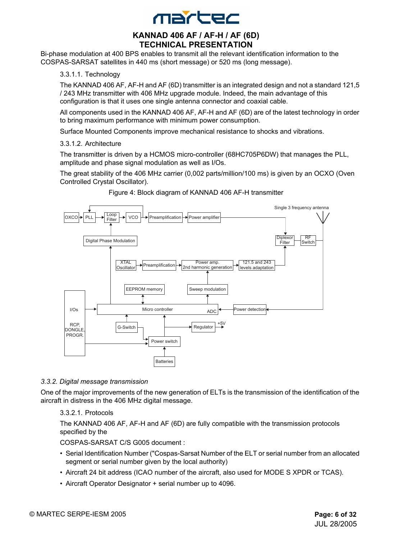

Bi-phase modulation at 400 BPS enables to transmit all the relevant identification information to the COSPAS-SARSAT satellites in 440 ms (short message) or 520 ms (long message).

3.3.1.1. Technology

The KANNAD 406 AF, AF-H and AF (6D) transmitter is an integrated design and not a standard 121,5 / 243 MHz transmitter with 406 MHz upgrade module. Indeed, the main advantage of this configuration is that it uses one single antenna connector and coaxial cable.

All components used in the KANNAD 406 AF, AF-H and AF (6D) are of the latest technology in order to bring maximum performance with minimum power consumption.

Surface Mounted Components improve mechanical resistance to shocks and vibrations.

#### 3.3.1.2. Architecture

The transmitter is driven by a HCMOS micro-controller (68HC705P6DW) that manages the PLL, amplitude and phase signal modulation as well as I/Os.

The great stability of the 406 MHz carrier (0,002 parts/million/100 ms) is given by an OCXO (Oven Controlled Crystal Oscillator).



#### Figure 4: Block diagram of KANNAD 406 AF-H transmitter

#### <span id="page-11-0"></span>*3.3.2. Digital message transmission*

One of the major improvements of the new generation of ELTs is the transmission of the identification of the aircraft in distress in the 406 MHz digital message.

#### 3.3.2.1. Protocols

The KANNAD 406 AF, AF-H and AF (6D) are fully compatible with the transmission protocols specified by the

COSPAS-SARSAT C/S G005 document :

- Serial Identification Number ("Cospas-Sarsat Number of the ELT or serial number from an allocated segment or serial number given by the local authority)
- Aircraft 24 bit address (ICAO number of the aircraft, also used for MODE S XPDR or TCAS).
- Aircraft Operator Designator + serial number up to 4096.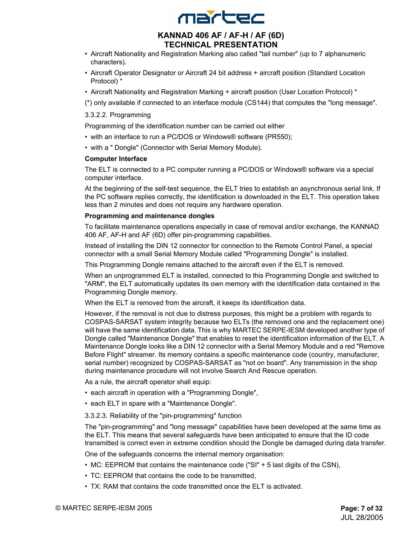

- Aircraft Nationality and Registration Marking also called "tail number" (up to 7 alphanumeric characters).
- Aircraft Operator Designator or Aircraft 24 bit address + aircraft position (Standard Location Protocol) \*
- Aircraft Nationality and Registration Marking + aircraft position (User Location Protocol) \*

(\*) only available if connected to an interface module (CS144) that computes the "long message".

#### 3.3.2.2. Programming

Programming of the identification number can be carried out either

- with an interface to run a PC/DOS or Windows® software (PR550);
- with a " Dongle" (Connector with Serial Memory Module).

#### **Computer Interface**

The ELT is connected to a PC computer running a PC/DOS or Windows® software via a special computer interface.

At the beginning of the self-test sequence, the ELT tries to establish an asynchronous serial link. If the PC software replies correctly, the identification is downloaded in the ELT. This operation takes less than 2 minutes and does not require any hardware operation.

#### **Programming and maintenance dongles**

To facilitate maintenance operations especially in case of removal and/or exchange, the KANNAD 406 AF, AF-H and AF (6D) offer pin-programming capabilities.

Instead of installing the DIN 12 connector for connection to the Remote Control Panel, a special connector with a small Serial Memory Module called "Programming Dongle" is installed.

This Programming Dongle remains attached to the aircraft even if the ELT is removed.

When an unprogrammed ELT is installed, connected to this Programming Dongle and switched to "ARM", the ELT automatically updates its own memory with the identification data contained in the Programming Dongle memory.

When the ELT is removed from the aircraft, it keeps its identification data.

However, if the removal is not due to distress purposes, this might be a problem with regards to COSPAS-SARSAT system integrity because two ELTs (the removed one and the replacement one) will have the same identification data. This is why MARTEC SERPE-IESM developed another type of Dongle called "Maintenance Dongle" that enables to reset the identification information of the ELT. A Maintenance Dongle looks like a DIN 12 connector with a Serial Memory Module and a red "Remove Before Flight" streamer. Its memory contains a specific maintenance code (country, manufacturer, serial number) recognized by COSPAS-SARSAT as "not on board". Any transmission in the shop during maintenance procedure will not involve Search And Rescue operation.

As a rule, the aircraft operator shall equip:

- each aircraft in operation with a "Programming Dongle",
- each ELT in spare with a "Maintenance Dongle".

3.3.2.3. Reliability of the "pin-programming" function

The "pin-programming" and "long message" capabilities have been developed at the same time as the ELT. This means that several safeguards have been anticipated to ensure that the ID code transmitted is correct even in extreme condition should the Dongle be damaged during data transfer.

One of the safeguards concerns the internal memory organisation:

- MC: EEPROM that contains the maintenance code ("SI" + 5 last digits of the CSN),
- TC: EEPROM that contains the code to be transmitted,
- TX: RAM that contains the code transmitted once the ELT is activated.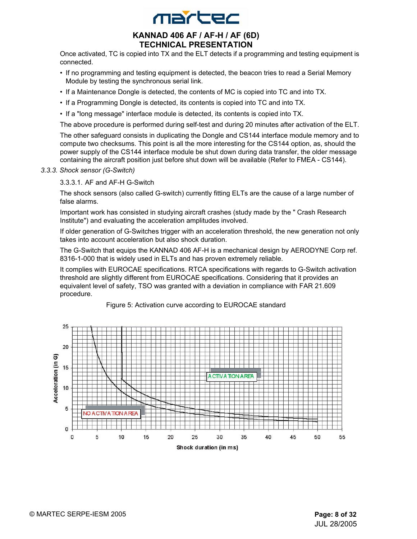

Once activated, TC is copied into TX and the ELT detects if a programming and testing equipment is connected.

- If no programming and testing equipment is detected, the beacon tries to read a Serial Memory Module by testing the synchronous serial link.
- If a Maintenance Dongle is detected, the contents of MC is copied into TC and into TX.
- If a Programming Dongle is detected, its contents is copied into TC and into TX.
- If a "long message" interface module is detected, its contents is copied into TX.

The above procedure is performed during self-test and during 20 minutes after activation of the ELT.

The other safeguard consists in duplicating the Dongle and CS144 interface module memory and to compute two checksums. This point is all the more interesting for the CS144 option, as, should the power supply of the CS144 interface module be shut down during data transfer, the older message containing the aircraft position just before shut down will be available (Refer to FMEA - CS144).

#### <span id="page-13-0"></span>*3.3.3. Shock sensor (G-Switch)*

3.3.3.1. AF and AF-H G-Switch

The shock sensors (also called G-switch) currently fitting ELTs are the cause of a large number of false alarms.

Important work has consisted in studying aircraft crashes (study made by the " Crash Research Institute") and evaluating the acceleration amplitudes involved.

If older generation of G-Switches trigger with an acceleration threshold, the new generation not only takes into account acceleration but also shock duration.

The G-Switch that equips the KANNAD 406 AF-H is a mechanical design by AERODYNE Corp ref. 8316-1-000 that is widely used in ELTs and has proven extremely reliable.

It complies with EUROCAE specifications. RTCA specifications with regards to G-Switch activation threshold are slightly different from EUROCAE specifications. Considering that it provides an equivalent level of safety, TSO was granted with a deviation in compliance with FAR 21.609 procedure.



#### Figure 5: Activation curve according to EUROCAE standard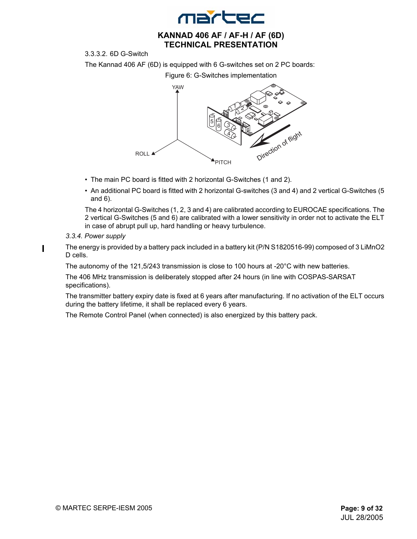

3.3.3.2. 6D G-Switch

The Kannad 406 AF (6D) is equipped with 6 G-switches set on 2 PC boards:

Figure 6: G-Switches implementation



- The main PC board is fitted with 2 horizontal G-Switches (1 and 2).
- An additional PC board is fitted with 2 horizontal G-switches (3 and 4) and 2 vertical G-Switches (5 and 6).

The 4 horizontal G-Switches (1, 2, 3 and 4) are calibrated according to EUROCAE specifications. The 2 vertical G-Switches (5 and 6) are calibrated with a lower sensitivity in order not to activate the ELT in case of abrupt pull up, hard handling or heavy turbulence.

<span id="page-14-0"></span>*3.3.4. Power supply*

The energy is provided by a battery pack included in a battery kit (P/N S1820516-99) composed of 3 LiMnO2 D cells.

The autonomy of the 121,5/243 transmission is close to 100 hours at -20°C with new batteries.

The 406 MHz transmission is deliberately stopped after 24 hours (in line with COSPAS-SARSAT specifications).

The transmitter battery expiry date is fixed at 6 years after manufacturing. If no activation of the ELT occurs during the battery lifetime, it shall be replaced every 6 years.

The Remote Control Panel (when connected) is also energized by this battery pack.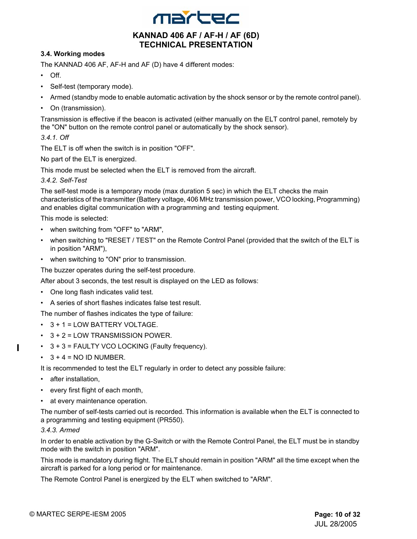

#### <span id="page-15-0"></span>**3.4. Working modes**

The KANNAD 406 AF, AF-H and AF (D) have 4 different modes:

- Off.
- Self-test (temporary mode).
- Armed (standby mode to enable automatic activation by the shock sensor or by the remote control panel).
- On (transmission).

Transmission is effective if the beacon is activated (either manually on the ELT control panel, remotely by the "ON" button on the remote control panel or automatically by the shock sensor).

#### <span id="page-15-1"></span>*3.4.1. Off*

The ELT is off when the switch is in position "OFF".

No part of the ELT is energized.

This mode must be selected when the ELT is removed from the aircraft.

#### <span id="page-15-2"></span>*3.4.2. Self-Test*

The self-test mode is a temporary mode (max duration 5 sec) in which the ELT checks the main characteristics of the transmitter (Battery voltage, 406 MHz transmission power, VCO locking, Programming) and enables digital communication with a programming and testing equipment.

This mode is selected:

- when switching from "OFF" to "ARM",
- when switching to "RESET / TEST" on the Remote Control Panel (provided that the switch of the ELT is in position "ARM"),
- when switching to "ON" prior to transmission.

The buzzer operates during the self-test procedure.

After about 3 seconds, the test result is displayed on the LED as follows:

- One long flash indicates valid test.
- A series of short flashes indicates false test result.

The number of flashes indicates the type of failure:

- 3 + 1 = LOW BATTERY VOLTAGE.
- 3 + 2 = LOW TRANSMISSION POWER.
- $\cdot$  3 + 3 = FAULTY VCO LOCKING (Faulty frequency).
- $\cdot$  3 + 4 = NO ID NUMBER.

It is recommended to test the ELT regularly in order to detect any possible failure:

• after installation,

 $\blacksquare$ 

- every first flight of each month,
- at every maintenance operation.

The number of self-tests carried out is recorded. This information is available when the ELT is connected to a programming and testing equipment (PR550).

#### <span id="page-15-3"></span>*3.4.3. Armed*

In order to enable activation by the G-Switch or with the Remote Control Panel, the ELT must be in standby mode with the switch in position "ARM".

This mode is mandatory during flight. The ELT should remain in position "ARM" all the time except when the aircraft is parked for a long period or for maintenance.

The Remote Control Panel is energized by the ELT when switched to "ARM".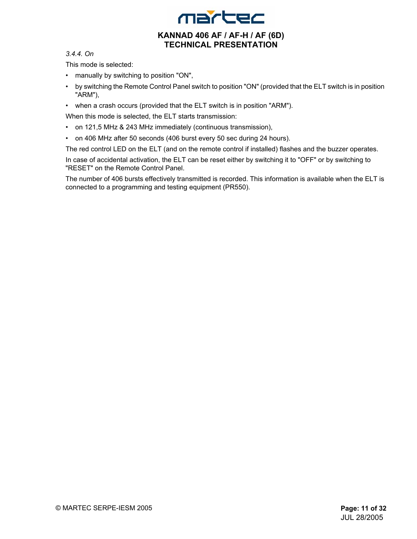

<span id="page-16-0"></span>*3.4.4. On*

This mode is selected:

- manually by switching to position "ON",
- by switching the Remote Control Panel switch to position "ON" (provided that the ELT switch is in position "ARM"),
- when a crash occurs (provided that the ELT switch is in position "ARM").

When this mode is selected, the ELT starts transmission:

- on 121,5 MHz & 243 MHz immediately (continuous transmission),
- on 406 MHz after 50 seconds (406 burst every 50 sec during 24 hours).

The red control LED on the ELT (and on the remote control if installed) flashes and the buzzer operates.

In case of accidental activation, the ELT can be reset either by switching it to "OFF" or by switching to "RESET" on the Remote Control Panel.

The number of 406 bursts effectively transmitted is recorded. This information is available when the ELT is connected to a programming and testing equipment (PR550).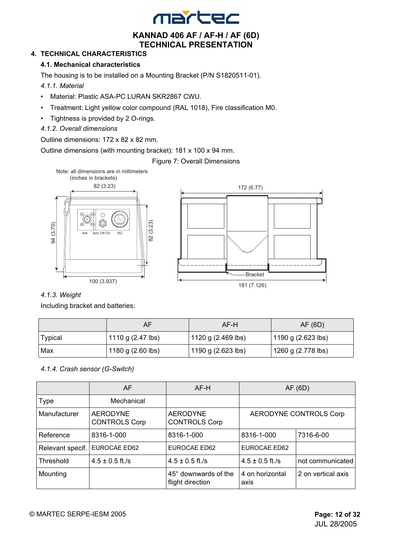

**TECHNICAL PRESENTATION**

## <span id="page-17-0"></span>**4. TECHNICAL CHARACTERISTICS**

#### <span id="page-17-1"></span>**4.1. Mechanical characteristics**

The housing is to be installed on a Mounting Bracket (P/N S1820511-01).

<span id="page-17-2"></span>*4.1.1. Material*

- Material: Plastic ASA-PC LURAN SKR2867 CWU.
- Treatment: Light yellow color compound (RAL 1018), Fire classification M0.
- Tightness is provided by 2 O-rings.
- <span id="page-17-3"></span>*4.1.2. Overall dimensions*

Outline dimensions: 172 x 82 x 82 mm.

Outline dimensions (with mounting bracket): 181 x 100 x 94 mm.

Figure 7: Overall Dimensions





<span id="page-17-4"></span>*4.1.3. Weight*

Including bracket and batteries:

|         | AF.               | AF-H                  | AF (6D)              |
|---------|-------------------|-----------------------|----------------------|
| Typical | 1110 g (2.47 lbs) | $1120$ g (2.469 lbs)  | $1190$ g (2.623 lbs) |
| Max     | 1180 g (2.60 lbs) | $11190$ g (2.623 lbs) | 1260 g (2.778 lbs)   |

<span id="page-17-5"></span>*4.1.4. Crash sensor (G-Switch)*

|                  | AF                                      | AF-H                                     | AF(6D)                  |                        |
|------------------|-----------------------------------------|------------------------------------------|-------------------------|------------------------|
| Type             | Mechanical                              |                                          |                         |                        |
| Manufacturer     | <b>AERODYNE</b><br><b>CONTROLS Corp</b> | <b>AERODYNE</b><br><b>CONTROLS Corp</b>  |                         | AERODYNE CONTROLS Corp |
| Reference        | 8316-1-000                              | 8316-1-000                               | 8316-1-000              | 7316-6-00              |
| Relevant specif. | <b>EUROCAE ED62</b>                     | EUROCAE ED62                             | EUROCAE ED62            |                        |
| Threshold        | $4.5 \pm 0.5$ ft./s                     | $4.5 \pm 0.5$ ft./s                      | $4.5 \pm 0.5$ ft./s     | not communicated       |
| Mounting         |                                         | 45° downwards of the<br>flight direction | 4 on horizontal<br>axis | 2 on vertical axis     |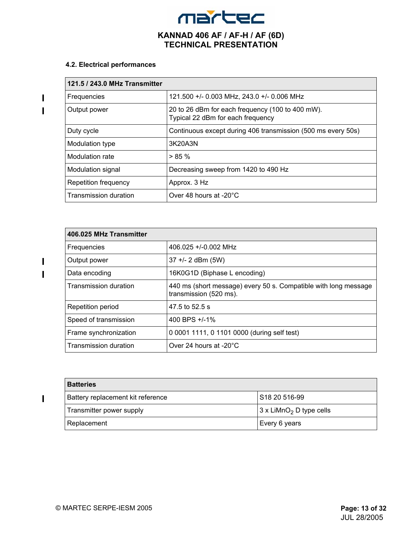

### <span id="page-18-0"></span>**4.2. Electrical performances**

| 121.5 / 243.0 MHz Transmitter |                                                                                       |  |  |
|-------------------------------|---------------------------------------------------------------------------------------|--|--|
| Frequencies                   | 121.500 +/- 0.003 MHz, 243.0 +/- 0.006 MHz                                            |  |  |
| Output power                  | 20 to 26 dBm for each frequency (100 to 400 mW).<br>Typical 22 dBm for each frequency |  |  |
| Duty cycle                    | Continuous except during 406 transmission (500 ms every 50s)                          |  |  |
| Modulation type               | 3K20A3N                                                                               |  |  |
| Modulation rate               | $> 85 \%$                                                                             |  |  |
| Modulation signal             | Decreasing sweep from 1420 to 490 Hz                                                  |  |  |
| Repetition frequency          | Approx. 3 Hz                                                                          |  |  |
| Transmission duration         | Over 48 hours at -20°C                                                                |  |  |

| 406.025 MHz Transmitter |                                                                                           |  |
|-------------------------|-------------------------------------------------------------------------------------------|--|
| Frequencies             | 406.025 +/-0.002 MHz                                                                      |  |
| Output power            | $37 +/- 2$ dBm (5W)                                                                       |  |
| Data encoding           | 16K0G1D (Biphase L encoding)                                                              |  |
| Transmission duration   | 440 ms (short message) every 50 s. Compatible with long message<br>transmission (520 ms). |  |
| Repetition period       | 47.5 to 52.5 s                                                                            |  |
| Speed of transmission   | 400 BPS $+/-1\%$                                                                          |  |
| Frame synchronization   | 0 0001 1111, 0 1101 0000 (during self test)                                               |  |
| Transmission duration   | Over 24 hours at $-20^{\circ}$ C                                                          |  |

 $\begin{array}{c} \hline \end{array}$  $\overline{1}$ 

 $\begin{array}{c} \rule{0pt}{2.5ex} \rule{0pt}{2.5ex} \rule{0pt}{2.5ex} \rule{0pt}{2.5ex} \rule{0pt}{2.5ex} \rule{0pt}{2.5ex} \rule{0pt}{2.5ex} \rule{0pt}{2.5ex} \rule{0pt}{2.5ex} \rule{0pt}{2.5ex} \rule{0pt}{2.5ex} \rule{0pt}{2.5ex} \rule{0pt}{2.5ex} \rule{0pt}{2.5ex} \rule{0pt}{2.5ex} \rule{0pt}{2.5ex} \rule{0pt}{2.5ex} \rule{0pt}{2.5ex} \rule{0pt}{2.5ex} \rule{0$  $\overline{1}$ 

| <b>Batteries</b>                  |                                            |  |  |
|-----------------------------------|--------------------------------------------|--|--|
| Battery replacement kit reference | S18 20 516-99                              |  |  |
| Transmitter power supply          | $3 \times$ LiMnO <sub>2</sub> D type cells |  |  |
| Replacement                       | Every 6 years                              |  |  |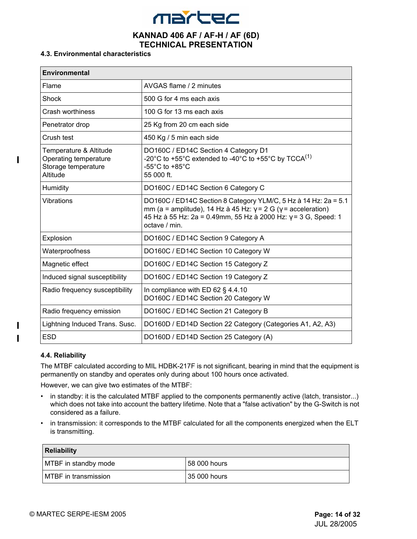

#### **TECHNICAL PRESENTATION**

#### <span id="page-19-0"></span>**4.3. Environmental characteristics**

| <b>Environmental</b>                                                               |                                                                                                                                                                                                                                    |  |
|------------------------------------------------------------------------------------|------------------------------------------------------------------------------------------------------------------------------------------------------------------------------------------------------------------------------------|--|
| Flame                                                                              | AVGAS flame / 2 minutes                                                                                                                                                                                                            |  |
| Shock                                                                              | 500 G for 4 ms each axis                                                                                                                                                                                                           |  |
| Crash worthiness                                                                   | 100 G for 13 ms each axis                                                                                                                                                                                                          |  |
| Penetrator drop                                                                    | 25 Kg from 20 cm each side                                                                                                                                                                                                         |  |
| Crush test                                                                         | 450 Kg / 5 min each side                                                                                                                                                                                                           |  |
| Temperature & Altitude<br>Operating temperature<br>Storage temperature<br>Altitude | DO160C / ED14C Section 4 Category D1<br>-20 $^{\circ}$ C to +55 $^{\circ}$ C extended to -40 $^{\circ}$ C to +55 $^{\circ}$ C by TCCA <sup>(1)</sup><br>-55 $^{\circ}$ C to +85 $^{\circ}$ C<br>55 000 ft.                         |  |
| Humidity                                                                           | DO160C / ED14C Section 6 Category C                                                                                                                                                                                                |  |
| <b>Vibrations</b>                                                                  | DO160C / ED14C Section 8 Category YLM/C, 5 Hz à 14 Hz: 2a = 5.1<br>mm (a = amplitude), 14 Hz à 45 Hz: $\gamma$ = 2 G ( $\gamma$ = acceleration)<br>45 Hz à 55 Hz: 2a = 0.49mm, 55 Hz à 2000 Hz: γ = 3 G, Speed: 1<br>octave / min. |  |
| Explosion                                                                          | DO160C / ED14C Section 9 Category A                                                                                                                                                                                                |  |
| Waterproofness                                                                     | DO160C / ED14C Section 10 Category W                                                                                                                                                                                               |  |
| Magnetic effect                                                                    | DO160C / ED14C Section 15 Category Z                                                                                                                                                                                               |  |
| Induced signal susceptibility                                                      | DO160C / ED14C Section 19 Category Z                                                                                                                                                                                               |  |
| Radio frequency susceptibility                                                     | In compliance with ED 62 $\S$ 4.4.10<br>DO160C / ED14C Section 20 Category W                                                                                                                                                       |  |
| Radio frequency emission                                                           | DO160C / ED14C Section 21 Category B                                                                                                                                                                                               |  |
| Lightning Induced Trans. Susc.                                                     | DO160D / ED14D Section 22 Category (Categories A1, A2, A3)                                                                                                                                                                         |  |
| <b>ESD</b>                                                                         | DO160D / ED14D Section 25 Category (A)                                                                                                                                                                                             |  |

#### <span id="page-19-1"></span>**4.4. Reliability**

Π

The MTBF calculated according to MIL HDBK-217F is not significant, bearing in mind that the equipment is permanently on standby and operates only during about 100 hours once activated.

However, we can give two estimates of the MTBF:

- in standby: it is the calculated MTBF applied to the components permanently active (latch, transistor...) which does not take into account the battery lifetime. Note that a "false activation" by the G-Switch is not considered as a failure.
- in transmission: it corresponds to the MTBF calculated for all the components energized when the ELT is transmitting.

| Reliability          |                |
|----------------------|----------------|
| MTBF in standby mode | l 58 000 hours |
| MTBF in transmission | 135 000 hours  |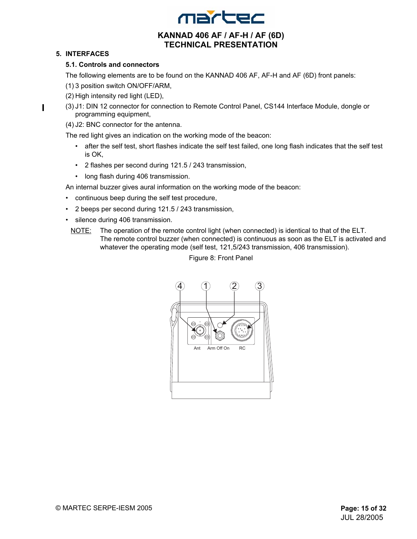

#### <span id="page-20-0"></span>**5. INTERFACES**

 $\blacksquare$ 

#### <span id="page-20-1"></span>**5.1. Controls and connectors**

The following elements are to be found on the KANNAD 406 AF, AF-H and AF (6D) front panels:

- (1) 3 position switch ON/OFF/ARM,
- (2) High intensity red light (LED),
- (3) J1: DIN 12 connector for connection to Remote Control Panel, CS144 Interface Module, dongle or programming equipment,
- (4) J2: BNC connector for the antenna.

The red light gives an indication on the working mode of the beacon:

- after the self test, short flashes indicate the self test failed, one long flash indicates that the self test is OK,
- 2 flashes per second during 121.5 / 243 transmission,
- long flash during 406 transmission.

An internal buzzer gives aural information on the working mode of the beacon:

- continuous beep during the self test procedure,
- 2 beeps per second during 121.5 / 243 transmission,
- silence during 406 transmission.
- NOTE: The operation of the remote control light (when connected) is identical to that of the ELT. The remote control buzzer (when connected) is continuous as soon as the ELT is activated and whatever the operating mode (self test, 121,5/243 transmission, 406 transmission).

Figure 8: Front Panel

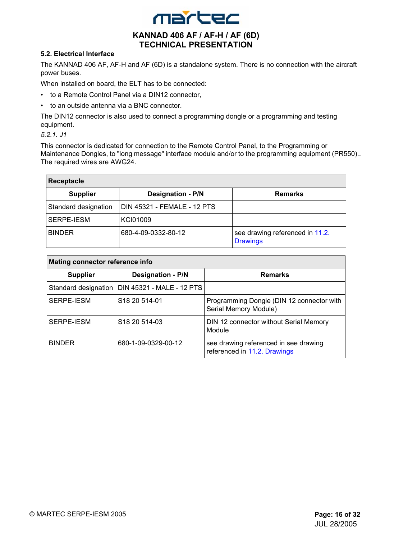

#### <span id="page-21-0"></span>**5.2. Electrical Interface**

The KANNAD 406 AF, AF-H and AF (6D) is a standalone system. There is no connection with the aircraft power buses.

When installed on board, the ELT has to be connected:

- to a Remote Control Panel via a DIN12 connector,
- to an outside antenna via a BNC connector.

The DIN12 connector is also used to connect a programming dongle or a programming and testing equipment.

#### <span id="page-21-1"></span>*5.2.1. J1*

This connector is dedicated for connection to the Remote Control Panel, to the Programming or Maintenance Dongles, to "long message" interface module and/or to the programming equipment (PR550).. The required wires are AWG24.

| Receptacle           |                             |                                                    |  |  |
|----------------------|-----------------------------|----------------------------------------------------|--|--|
| <b>Supplier</b>      | <b>Designation - P/N</b>    | <b>Remarks</b>                                     |  |  |
| Standard designation | DIN 45321 - FEMALE - 12 PTS |                                                    |  |  |
| SERPE-IESM           | KCI01009                    |                                                    |  |  |
| <b>BINDER</b>        | 680-4-09-0332-80-12         | see drawing referenced in 11.2.<br><b>Drawings</b> |  |  |

| Mating connector reference info |                                                  |                                                                       |  |  |
|---------------------------------|--------------------------------------------------|-----------------------------------------------------------------------|--|--|
| <b>Supplier</b>                 | <b>Designation - P/N</b>                         | <b>Remarks</b>                                                        |  |  |
|                                 | Standard designation   DIN 45321 - MALE - 12 PTS |                                                                       |  |  |
| <b>SERPE-IESM</b>               | S <sub>18</sub> 20 514-01                        | Programming Dongle (DIN 12 connector with<br>Serial Memory Module)    |  |  |
| <b>SERPE-IESM</b>               | S <sub>18</sub> 20 514-03                        | DIN 12 connector without Serial Memory<br>Module                      |  |  |
| <b>BINDER</b>                   | 680-1-09-0329-00-12                              | see drawing referenced in see drawing<br>referenced in 11.2. Drawings |  |  |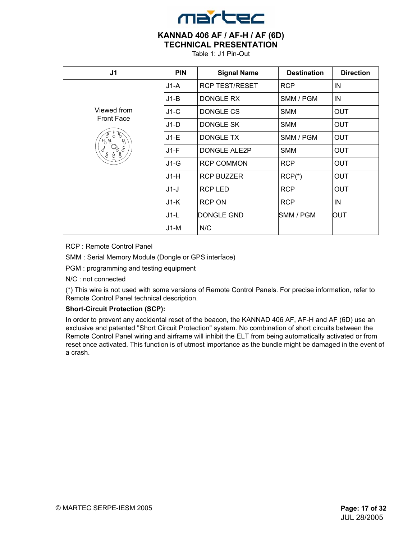

Table 1: J1 Pin-Out

| J <sub>1</sub>                                                  | <b>PIN</b> | <b>Signal Name</b>    | <b>Destination</b> | <b>Direction</b> |
|-----------------------------------------------------------------|------------|-----------------------|--------------------|------------------|
|                                                                 | $J1-A$     | <b>RCP TEST/RESET</b> | <b>RCP</b>         | IN               |
|                                                                 | $J1-B$     | DONGLE RX             | SMM / PGM          | IN               |
| Viewed from                                                     | $J1-C$     | <b>DONGLE CS</b>      | <b>SMM</b>         | <b>OUT</b>       |
| <b>Front Face</b>                                               | $J1-D$     | <b>DONGLE SK</b>      | <b>SMM</b>         | <b>OUT</b>       |
| 5<br>ਨੂੰ<br>$\mathcal{P}_{\circlearrowleft}$<br>H <sub>OM</sub> | $J1-E$     | DONGLE TX             | SMM / PGM          | <b>OUT</b>       |
| $\delta$<br>4<br>೧<br>898                                       | $J1-F$     | DONGLE ALE2P          | <b>SMM</b>         | OUT              |
|                                                                 | $J1-G$     | <b>RCP COMMON</b>     | <b>RCP</b>         | <b>OUT</b>       |
|                                                                 | $J1-H$     | <b>RCP BUZZER</b>     | $RCP(*)$           | <b>OUT</b>       |
|                                                                 | $J1-J$     | RCP LED               | <b>RCP</b>         | <b>OUT</b>       |
|                                                                 | $J1-K$     | <b>RCP ON</b>         | <b>RCP</b>         | IN               |
|                                                                 | $J1-L$     | DONGLE GND            | SMM / PGM          | OUT              |
|                                                                 | $J1-M$     | N/C                   |                    |                  |

#### RCP : Remote Control Panel

SMM : Serial Memory Module (Dongle or GPS interface)

PGM : programming and testing equipment

N/C : not connected

(\*) This wire is not used with some versions of Remote Control Panels. For precise information, refer to Remote Control Panel technical description.

#### **Short-Circuit Protection (SCP):**

In order to prevent any accidental reset of the beacon, the KANNAD 406 AF, AF-H and AF (6D) use an exclusive and patented "Short Circuit Protection" system. No combination of short circuits between the Remote Control Panel wiring and airframe will inhibit the ELT from being automatically activated or from reset once activated. This function is of utmost importance as the bundle might be damaged in the event of a crash.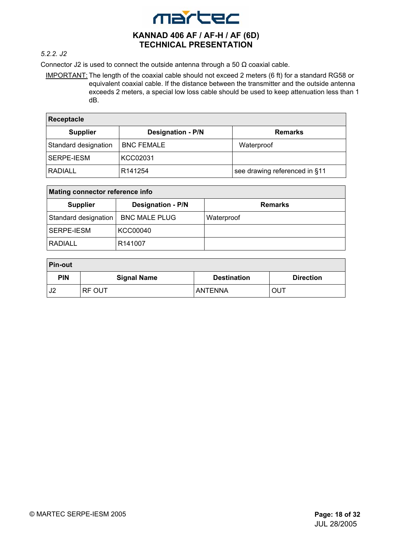

#### <span id="page-23-0"></span>*5.2.2. J2*

Connector J2 is used to connect the outside antenna through a 50  $\Omega$  coaxial cable.

IMPORTANT: The length of the coaxial cable should not exceed 2 meters (6 ft) for a standard RG58 or equivalent coaxial cable. If the distance between the transmitter and the outside antenna exceeds 2 meters, a special low loss cable should be used to keep attenuation less than 1 dB.

| Receptacle           |                          |                               |  |
|----------------------|--------------------------|-------------------------------|--|
| <b>Supplier</b>      | <b>Designation - P/N</b> | <b>Remarks</b>                |  |
| Standard designation | <b>BNC FEMALE</b>        | Waterproof                    |  |
| SERPE-IESM           | KCC02031                 |                               |  |
| RADIALL              | R <sub>141254</sub>      | see drawing referenced in §11 |  |

| Mating connector reference info |                          |                |  |  |
|---------------------------------|--------------------------|----------------|--|--|
| <b>Supplier</b>                 | <b>Designation - P/N</b> | <b>Remarks</b> |  |  |
| Standard designation            | <b>BNC MALE PLUG</b>     | Waterproof     |  |  |
| SERPE-IESM                      | <b>KCC00040</b>          |                |  |  |
| <b>RADIALL</b>                  | R141007                  |                |  |  |

| <b>Pin-out</b> |                    |                    |                  |
|----------------|--------------------|--------------------|------------------|
| <b>PIN</b>     | <b>Signal Name</b> | <b>Destination</b> | <b>Direction</b> |
| l J2           | RF OUT             | <b>ANTENNA</b>     | .OUT             |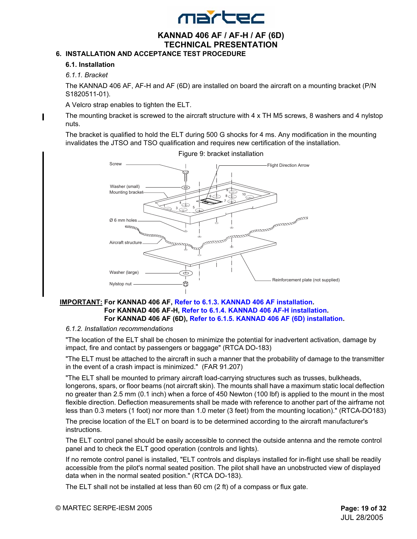

## **TECHNICAL PRESENTATION**

## <span id="page-24-0"></span>**6. INSTALLATION AND ACCEPTANCE TEST PROCEDURE**

#### <span id="page-24-1"></span>**6.1. Installation**

<span id="page-24-2"></span>*6.1.1. Bracket*

 $\blacksquare$ 

The KANNAD 406 AF, AF-H and AF (6D) are installed on board the aircraft on a mounting bracket (P/N S1820511-01).

A Velcro strap enables to tighten the ELT.

The mounting bracket is screwed to the aircraft structure with 4 x TH M5 screws, 8 washers and 4 nylstop nuts.

The bracket is qualified to hold the ELT during 500 G shocks for 4 ms. Any modification in the mounting invalidates the JTSO and TSO qualification and requires new certification of the installation.



Figure 9: bracket installation

#### **IMPORTANT: For KANNAD 406 AF, [Refer to 6.1.3. KANNAD 406 AF installation](#page-25-0). For KANNAD 406 AF-H, [Refer to 6.1.4. KANNAD 406 AF-H installation](#page-25-1). For KANNAD 406 AF (6D), [Refer to 6.1.5. KANNAD 406 AF \(6D\) installation](#page-26-0).**

#### <span id="page-24-3"></span>*6.1.2. Installation recommendations*

"The location of the ELT shall be chosen to minimize the potential for inadvertent activation, damage by impact, fire and contact by passengers or baggage" (RTCA DO-183)

"The ELT must be attached to the aircraft in such a manner that the probability of damage to the transmitter in the event of a crash impact is minimized." (FAR 91.207)

"The ELT shall be mounted to primary aircraft load-carrying structures such as trusses, bulkheads, longerons, spars, or floor beams (not aircraft skin). The mounts shall have a maximum static local deflection no greater than 2.5 mm (0.1 inch) when a force of 450 Newton (100 lbf) is applied to the mount in the most flexible direction. Deflection measurements shall be made with reference to another part of the airframe not less than 0.3 meters (1 foot) nor more than 1.0 meter (3 feet) from the mounting location)." (RTCA-DO183)

The precise location of the ELT on board is to be determined according to the aircraft manufacturer's instructions.

The ELT control panel should be easily accessible to connect the outside antenna and the remote control panel and to check the ELT good operation (controls and lights).

If no remote control panel is installed, "ELT controls and displays installed for in-flight use shall be readily accessible from the pilot's normal seated position. The pilot shall have an unobstructed view of displayed data when in the normal seated position." (RTCA DO-183).

The ELT shall not be installed at less than 60 cm (2 ft) of a compass or flux gate.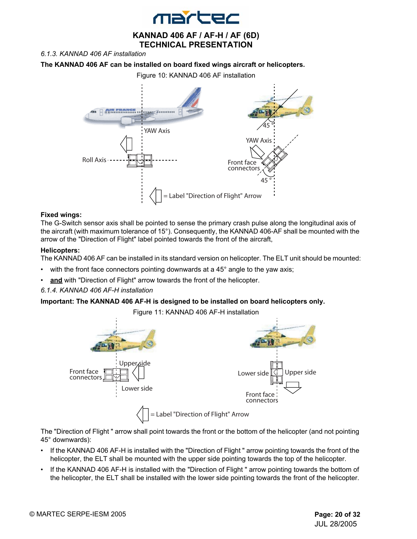

## **TECHNICAL PRESENTATION**

#### <span id="page-25-0"></span>*6.1.3. KANNAD 406 AF installation*

#### **The KANNAD 406 AF can be installed on board fixed wings aircraft or helicopters.**

Figure 10: KANNAD 406 AF installation



#### **Fixed wings:**

The G-Switch sensor axis shall be pointed to sense the primary crash pulse along the longitudinal axis of the aircraft (with maximum tolerance of 15°). Consequently, the KANNAD 406-AF shall be mounted with the arrow of the "Direction of Flight" label pointed towards the front of the aircraft,

#### **Helicopters:**

The KANNAD 406 AF can be installed in its standard version on helicopter. The ELT unit should be mounted:

- with the front face connectors pointing downwards at a 45° angle to the yaw axis;
- **and** with "Direction of Flight" arrow towards the front of the helicopter.
- <span id="page-25-1"></span>*6.1.4. KANNAD 406 AF-H installation*

#### **Important: The KANNAD 406 AF-H is designed to be installed on board helicopters only.**

Figure 11: KANNAD 406 AF-H installation



The "Direction of Flight " arrow shall point towards the front or the bottom of the helicopter (and not pointing 45° downwards):

- If the KANNAD 406 AF-H is installed with the "Direction of Flight " arrow pointing towards the front of the helicopter, the ELT shall be mounted with the upper side pointing towards the top of the helicopter.
- If the KANNAD 406 AF-H is installed with the "Direction of Flight " arrow pointing towards the bottom of the helicopter, the ELT shall be installed with the lower side pointing towards the front of the helicopter.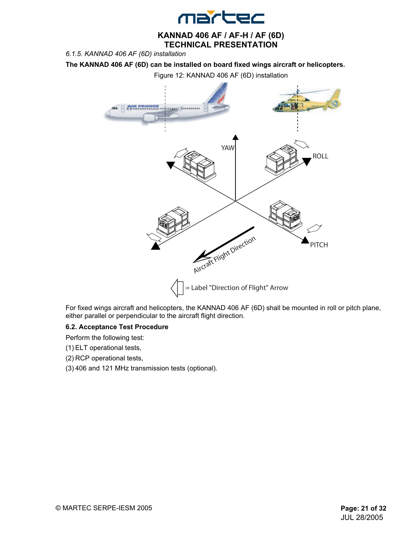

## **TECHNICAL PRESENTATION**

<span id="page-26-0"></span>*6.1.5. KANNAD 406 AF (6D) installation*

**The KANNAD 406 AF (6D) can be installed on board fixed wings aircraft or helicopters.**

Figure 12: KANNAD 406 AF (6D) installation



For fixed wings aircraft and helicopters, the KANNAD 406 AF (6D) shall be mounted in roll or pitch plane, either parallel or perpendicular to the aircraft flight direction.

#### <span id="page-26-1"></span>**6.2. Acceptance Test Procedure**

Perform the following test:

- (1) ELT operational tests,
- (2) RCP operational tests,
- (3) 406 and 121 MHz transmission tests (optional).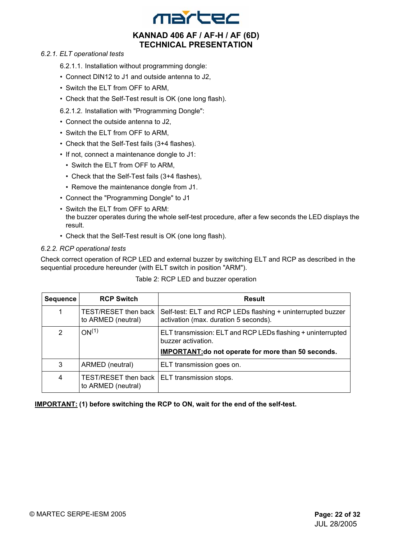

#### <span id="page-27-0"></span>*6.2.1. ELT operational tests*

- 6.2.1.1. Installation without programming dongle:
- Connect DIN12 to J1 and outside antenna to J2,
- Switch the ELT from OFF to ARM,
- Check that the Self-Test result is OK (one long flash).
- 6.2.1.2. Installation with "Programming Dongle":
- Connect the outside antenna to J2,
- Switch the ELT from OFF to ARM,
- Check that the Self-Test fails (3+4 flashes).
- If not, connect a maintenance dongle to J1:
	- Switch the ELT from OFF to ARM,
	- Check that the Self-Test fails (3+4 flashes),
	- Remove the maintenance dongle from J1.
- Connect the "Programming Dongle" to J1
- Switch the ELT from OFF to ARM: the buzzer operates during the whole self-test procedure, after a few seconds the LED displays the result.
- Check that the Self-Test result is OK (one long flash).

#### <span id="page-27-1"></span>*6.2.2. RCP operational tests*

Check correct operation of RCP LED and external buzzer by switching ELT and RCP as described in the sequential procedure hereunder (with ELT switch in position "ARM").

| <b>Sequence</b> | <b>RCP Switch</b>                          | <b>Result</b>                                                                                                                                   |
|-----------------|--------------------------------------------|-------------------------------------------------------------------------------------------------------------------------------------------------|
| 1               | TEST/RESET then back<br>to ARMED (neutral) | Self-test: ELT and RCP LEDs flashing + uninterrupted buzzer<br>activation (max. duration 5 seconds).                                            |
| 2               | ON <sup>(1)</sup>                          | ELT transmission: ELT and RCP LEDs flashing + uninterrupted<br>buzzer activation.<br><b>IMPORTANT: do not operate for more than 50 seconds.</b> |
| 3               | ARMED (neutral)                            | ELT transmission goes on.                                                                                                                       |
| 4               | TEST/RESET then back<br>to ARMED (neutral) | ELT transmission stops.                                                                                                                         |

#### Table 2: RCP LED and buzzer operation

**IMPORTANT: (1) before switching the RCP to ON, wait for the end of the self-test.**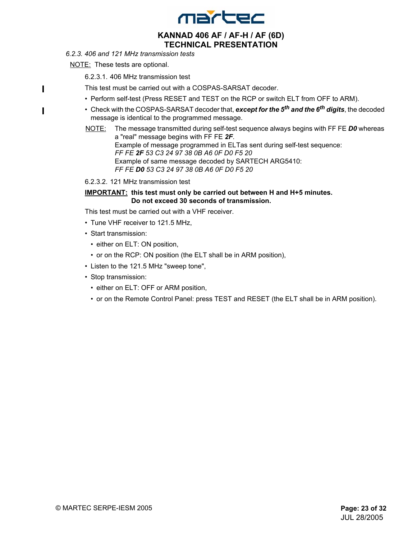

#### <span id="page-28-0"></span>*6.2.3. 406 and 121 MHz transmission tests*

NOTE: These tests are optional.

 $\mathbf I$ 

 $\blacksquare$ 

6.2.3.1. 406 MHz transmission test

- This test must be carried out with a COSPAS-SARSAT decoder.
- Perform self-test (Press RESET and TEST on the RCP or switch ELT from OFF to ARM).
- Check with the COSPAS-SARSAT decoder that, *except for the 5th and the 6th digits*, the decoded message is identical to the programmed message.
	- NOTE: The message transmitted during self-test sequence always begins with FF FE *D0* whereas a "real" message begins with FF FE *2F*. Example of message programmed in ELTas sent during self-test sequence: *FF FE 2F 53 C3 24 97 38 0B A6 0F D0 F5 20* Example of same message decoded by SARTECH ARG5410: *FF FE D0 53 C3 24 97 38 0B A6 0F D0 F5 20*
	- 6.2.3.2. 121 MHz transmission test

#### **IMPORTANT: this test must only be carried out between H and H+5 minutes. Do not exceed 30 seconds of transmission.**

This test must be carried out with a VHF receiver.

- Tune VHF receiver to 121.5 MHz,
- Start transmission:
	- either on ELT: ON position,
	- or on the RCP: ON position (the ELT shall be in ARM position),
- Listen to the 121.5 MHz "sweep tone",
- Stop transmission:
	- either on ELT: OFF or ARM position,
	- or on the Remote Control Panel: press TEST and RESET (the ELT shall be in ARM position).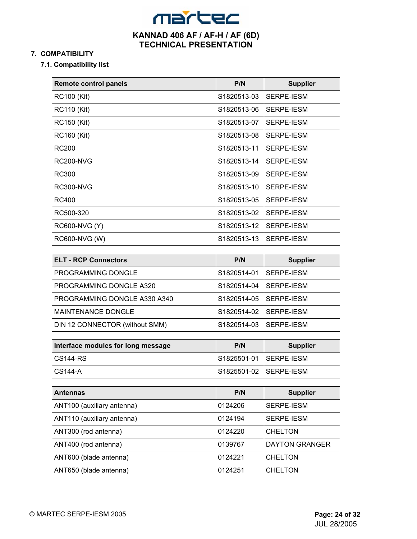

## <span id="page-29-0"></span>**7. COMPATIBILITY**

<span id="page-29-1"></span>**7.1. Compatibility list**

| <b>Remote control panels</b> | P/N         | <b>Supplier</b>   |
|------------------------------|-------------|-------------------|
| <b>RC100 (Kit)</b>           | S1820513-03 | SERPE-IESM        |
| <b>RC110 (Kit)</b>           | S1820513-06 | SERPE-IESM        |
| <b>RC150 (Kit)</b>           | S1820513-07 | <b>SERPE-IESM</b> |
| <b>RC160 (Kit)</b>           | S1820513-08 | <b>SERPE-IESM</b> |
| RC200                        | S1820513-11 | <b>SERPE-IESM</b> |
| RC200-NVG                    | S1820513-14 | SERPE-IESM        |
| RC300                        | S1820513-09 | <b>SERPE-IESM</b> |
| <b>RC300-NVG</b>             | S1820513-10 | <b>SERPE-IESM</b> |
| RC400                        | S1820513-05 | <b>SERPE-IESM</b> |
| RC500-320                    | S1820513-02 | <b>SERPE-IESM</b> |
| RC600-NVG (Y)                | S1820513-12 | <b>SERPE-IESM</b> |
| RC600-NVG (W)                | S1820513-13 | <b>SERPE-IESM</b> |

| <b>ELT - RCP Connectors</b>    | P/N         | <b>Supplier</b>    |
|--------------------------------|-------------|--------------------|
| PROGRAMMING DONGLE             | S1820514-01 | <b>SERPE-IESM</b>  |
| PROGRAMMING DONGLE A320        | S1820514-04 | <b>ISERPE-IESM</b> |
| PROGRAMMING DONGLE A330 A340   | S1820514-05 | <b>ISERPE-IESM</b> |
| MAINTENANCE DONGLE             | S1820514-02 | <b>ISERPE-IESM</b> |
| DIN 12 CONNECTOR (without SMM) | S1820514-03 | <b>ISERPE-IESM</b> |

| Interface modules for long message | P/N                      | <b>Supplier</b> |
|------------------------------------|--------------------------|-----------------|
| CS144-RS                           | S1825501-01 SERPE-IESM   |                 |
| ICS144-A                           | S1825501-02   SERPE-IESM |                 |

| <b>Antennas</b>                        | P/N     | <b>Supplier</b>       |
|----------------------------------------|---------|-----------------------|
| ANT <sub>100</sub> (auxiliary antenna) | 0124206 | SERPE-IESM            |
| ANT110 (auxiliary antenna)             | 0124194 | SERPE-IESM            |
| ANT300 (rod antenna)                   | 0124220 | <b>CHELTON</b>        |
| ANT400 (rod antenna)                   | 0139767 | <b>DAYTON GRANGER</b> |
| ANT600 (blade antenna)                 | 0124221 | <b>CHELTON</b>        |
| ANT650 (blade antenna)                 | 0124251 | <b>CHELTON</b>        |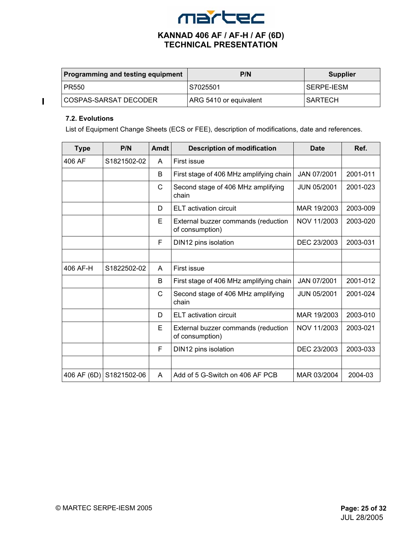

| Programming and testing equipment | P/N                    | <b>Supplier</b> |
|-----------------------------------|------------------------|-----------------|
| <b>PR550</b>                      | S7025501               | SERPE-IESM      |
| COSPAS-SARSAT DECODER             | ARG 5410 or equivalent | I SARTECH       |

#### <span id="page-30-0"></span>**7.2. Evolutions**

 $\blacksquare$ 

List of Equipment Change Sheets (ECS or FEE), description of modifications, date and references.

| <b>Type</b> | P/N         | Amdt | <b>Description of modification</b>                     | <b>Date</b>        | Ref.     |
|-------------|-------------|------|--------------------------------------------------------|--------------------|----------|
| 406 AF      | S1821502-02 | A    | First issue                                            |                    |          |
|             |             | B    | First stage of 406 MHz amplifying chain                | JAN 07/2001        | 2001-011 |
|             |             | C    | Second stage of 406 MHz amplifying<br>chain            | <b>JUN 05/2001</b> | 2001-023 |
|             |             | D    | <b>ELT</b> activation circuit                          | MAR 19/2003        | 2003-009 |
|             |             | E    | External buzzer commands (reduction<br>of consumption) | NOV 11/2003        | 2003-020 |
|             |             | F    | DIN12 pins isolation                                   | DEC 23/2003        | 2003-031 |
|             |             |      |                                                        |                    |          |
| 406 AF-H    | S1822502-02 | A    | First issue                                            |                    |          |
|             |             | B    | First stage of 406 MHz amplifying chain                | JAN 07/2001        | 2001-012 |
|             |             | C    | Second stage of 406 MHz amplifying<br>chain            | <b>JUN 05/2001</b> | 2001-024 |
|             |             | D    | <b>ELT</b> activation circuit                          | MAR 19/2003        | 2003-010 |
|             |             | E    | External buzzer commands (reduction<br>of consumption) | NOV 11/2003        | 2003-021 |
|             |             | F    | DIN12 pins isolation                                   | DEC 23/2003        | 2003-033 |
|             |             |      |                                                        |                    |          |
| 406 AF (6D) | S1821502-06 | A    | Add of 5 G-Switch on 406 AF PCB                        | MAR 03/2004        | 2004-03  |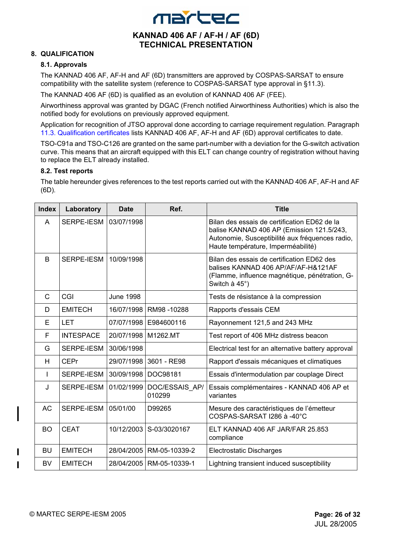

#### <span id="page-31-0"></span>**8. QUALIFICATION**

#### <span id="page-31-1"></span>**8.1. Approvals**

The KANNAD 406 AF, AF-H and AF (6D) transmitters are approved by COSPAS-SARSAT to ensure compatibility with the satellite system (reference to COSPAS-SARSAT type approval in §11.3).

The KANNAD 406 AF (6D) is qualified as an evolution of KANNAD 406 AF (FEE).

Airworthiness approval was granted by DGAC (French notified Airworthiness Authorities) which is also the notified body for evolutions on previously approved equipment.

Application for recognition of JTSO approval done according to carriage requirement regulation. Paragraph [11.3. Qualification certificates](#page-37-3) lists KANNAD 406 AF, AF-H and AF (6D) approval certificates to date.

TSO-C91a and TSO-C126 are granted on the same part-number with a deviation for the G-switch activation curve. This means that an aircraft equipped with this ELT can change country of registration without having to replace the ELT already installed.

#### <span id="page-31-2"></span>**8.2. Test reports**

The table hereunder gives references to the test reports carried out with the KANNAD 406 AF, AF-H and AF (6D).

| <b>Index</b> | Laboratory        | <b>Date</b>           | Ref.                       | <b>Title</b>                                                                                                                                                                       |
|--------------|-------------------|-----------------------|----------------------------|------------------------------------------------------------------------------------------------------------------------------------------------------------------------------------|
| A            | <b>SERPE-IESM</b> | 03/07/1998            |                            | Bilan des essais de certification ED62 de la<br>balise KANNAD 406 AP (Emission 121.5/243,<br>Autonomie, Susceptibilité aux fréquences radio,<br>Haute température, Imperméabilité) |
| B            | SERPE-IESM        | 10/09/1998            |                            | Bilan des essais de certification ED62 des<br>balises KANNAD 406 AP/AF/AF-H&121AF<br>(Flamme, influence magnétique, pénétration, G-<br>Switch à 45°)                               |
| $\mathsf{C}$ | CGI               | June 1998             |                            | Tests de résistance à la compression                                                                                                                                               |
| D            | <b>EMITECH</b>    | 16/07/1998            | RM98-10288                 | Rapports d'essais CEM                                                                                                                                                              |
| E            | <b>LET</b>        |                       | 07/07/1998   E984600116    | Rayonnement 121,5 and 243 MHz                                                                                                                                                      |
| F            | <b>INTESPACE</b>  | 20/07/1998 M1262.MT   |                            | Test report of 406 MHz distress beacon                                                                                                                                             |
| G            | SERPE-IESM        | 30/06/1998            |                            | Electrical test for an alternative battery approval                                                                                                                                |
| H            | <b>CEPr</b>       |                       | 29/07/1998 3601 - RE98     | Rapport d'essais mécaniques et climatiques                                                                                                                                         |
| $\mathbf{I}$ | SERPE-IESM        | 30/09/1998   DOC98181 |                            | Essais d'intermodulation par couplage Direct                                                                                                                                       |
| J            | SERPE-IESM        | 01/02/1999            | DOC/ESSAIS AP/<br>010299   | Essais complémentaires - KANNAD 406 AP et<br>variantes                                                                                                                             |
| <b>AC</b>    | SERPE-IESM        | 05/01/00              | D99265                     | Mesure des caractéristiques de l'émetteur<br>COSPAS-SARSAT I286 à -40°C                                                                                                            |
| BO           | <b>CEAT</b>       | 10/12/2003            | S-03/3020167               | ELT KANNAD 406 AF JAR/FAR 25.853<br>compliance                                                                                                                                     |
| <b>BU</b>    | <b>EMITECH</b>    |                       | 28/04/2005   RM-05-10339-2 | <b>Electrostatic Discharges</b>                                                                                                                                                    |
| <b>BV</b>    | <b>EMITECH</b>    |                       | 28/04/2005   RM-05-10339-1 | Lightning transient induced susceptibility                                                                                                                                         |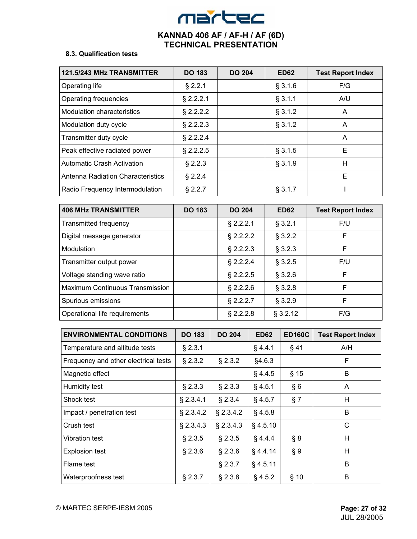

#### <span id="page-32-0"></span>**8.3. Qualification tests**

| 121.5/243 MHz TRANSMITTER                | <b>DO 183</b> | <b>DO 204</b> | <b>ED62</b> | <b>Test Report Index</b> |
|------------------------------------------|---------------|---------------|-------------|--------------------------|
| Operating life                           | $§$ 2.2.1     |               | § 3.1.6     | F/G                      |
| Operating frequencies                    | $§$ 2.2.2.1   |               | § 3.1.1     | A/U                      |
| <b>Modulation characteristics</b>        | $§$ 2.2.2.2   |               | § 3.1.2     | A                        |
| Modulation duty cycle                    | $§$ 2.2.2.3   |               | § 3.1.2     | A                        |
| Transmitter duty cycle                   | $§$ 2.2.2.4   |               |             | A                        |
| Peak effective radiated power            | $§$ 2.2.2.5   |               | § 3.1.5     | Е                        |
| <b>Automatic Crash Activation</b>        | § 2.2.3       |               | § 3.1.9     | н                        |
| <b>Antenna Radiation Characteristics</b> | $§$ 2.2.4     |               |             | Е                        |
| Radio Frequency Intermodulation          | § 2.2.7       |               | § 3.1.7     |                          |

| <b>406 MHz TRANSMITTER</b>      | <b>DO 183</b> | <b>DO 204</b> | <b>ED62</b> | <b>Test Report Index</b> |
|---------------------------------|---------------|---------------|-------------|--------------------------|
| <b>Transmitted frequency</b>    |               | $§$ 2.2.2.1   | § 3.2.1     | F/U                      |
| Digital message generator       |               | $§$ 2.2.2.2   | § 3.2.2     | F                        |
| Modulation                      |               | $§$ 2.2.2.3   | § 3.2.3     | F                        |
| Transmitter output power        |               | $§$ 2.2.2.4   | § 3.2.5     | F/U                      |
| Voltage standing wave ratio     |               | $§$ 2.2.2.5   | § 3.2.6     | F                        |
| Maximum Continuous Transmission |               | $§$ 2.2.2.6   | § 3.2.8     | F                        |
| Spurious emissions              |               | $§$ 2.2.2.7   | § 3.2.9     | F                        |
| Operational life requirements   |               | $§$ 2.2.2.8   | \$3.2.12    | F/G                      |

| <b>ENVIRONMENTAL CONDITIONS</b>      | <b>DO 183</b> | <b>DO 204</b> | <b>ED62</b> | <b>ED160C</b> | <b>Test Report Index</b> |
|--------------------------------------|---------------|---------------|-------------|---------------|--------------------------|
| Temperature and altitude tests       | $§$ 2.3.1     |               | $§$ 4.4.1   | §41           | A/H                      |
| Frequency and other electrical tests | $§$ 2.3.2     | $§$ 2.3.2     | §4.6.3      |               | F                        |
| Magnetic effect                      |               |               | $§$ 4.4.5   | $§$ 15        | В                        |
| Humidity test                        | $§$ 2.3.3     | $§$ 2.3.3     | $§$ 4.5.1   | § 6           | A                        |
| Shock test                           | $§$ 2.3.4.1   | $§$ 2.3.4     | $§$ 4.5.7   | § 7           | H                        |
| Impact / penetration test            | $§$ 2.3.4.2   | $§$ 2.3.4.2   | $§$ 4.5.8   |               | B                        |
| Crush test                           | $§$ 2.3.4.3   | $§$ 2.3.4.3   | $§$ 4.5.10  |               | C                        |
| Vibration test                       | $§$ 2.3.5     | $§$ 2.3.5     | § 4.4.4     | § 8           | H                        |
| <b>Explosion test</b>                | $§$ 2.3.6     | $§$ 2.3.6     | $§$ 4.4.14  | § 9           | Н                        |
| Flame test                           |               | § 2.3.7       | $§$ 4.5.11  |               | B                        |
| Waterproofness test                  | $§$ 2.3.7     | $§$ 2.3.8     | § 4.5.2     | $§$ 10        | B                        |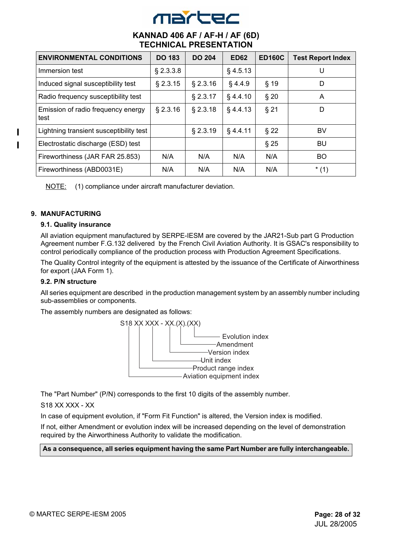

| <b>ENVIRONMENTAL CONDITIONS</b>            | <b>DO 183</b> | <b>DO 204</b> | <b>ED62</b> | <b>ED160C</b> | <b>Test Report Index</b> |
|--------------------------------------------|---------------|---------------|-------------|---------------|--------------------------|
| Immersion test                             | $§$ 2.3.3.8   |               | $§$ 4.5.13  |               | U                        |
| Induced signal susceptibility test         | $§$ 2.3.15    | $§$ 2.3.16    | §4.4.9      | $§$ 19        | D                        |
| Radio frequency susceptibility test        |               | $§$ 2.3.17    | $§$ 4.4.10  | § 20          | A                        |
| Emission of radio frequency energy<br>test | $§$ 2.3.16    | $§$ 2.3.18    | $§$ 4.4.13  | $§$ 21        | D                        |
| Lightning transient susceptibility test    |               | $§$ 2.3.19    | § 4.4.11    | § 22          | BV                       |
| Electrostatic discharge (ESD) test         |               |               |             | §25           | BU                       |
| Fireworthiness (JAR FAR 25.853)            | N/A           | N/A           | N/A         | N/A           | <b>BO</b>                |
| Fireworthiness (ABD0031E)                  | N/A           | N/A           | N/A         | N/A           | $*$ (1)                  |

#### <span id="page-33-0"></span>**9. MANUFACTURING**

#### <span id="page-33-1"></span>**9.1. Quality insurance**

All aviation equipment manufactured by SERPE-IESM are covered by the JAR21-Sub part G Production Agreement number F.G.132 delivered by the French Civil Aviation Authority. It is GSAC's responsibility to control periodically compliance of the production process with Production Agreement Specifications.

The Quality Control integrity of the equipment is attested by the issuance of the Certificate of Airworthiness for export (JAA Form 1).

#### <span id="page-33-2"></span>**9.2. P/N structure**

All series equipment are described in the production management system by an assembly number including sub-assemblies or components.

The assembly numbers are designated as follows:



The "Part Number" (P/N) corresponds to the first 10 digits of the assembly number. S18 XX XXX - XX

In case of equipment evolution, if "Form Fit Function" is altered, the Version index is modified.

If not, either Amendment or evolution index will be increased depending on the level of demonstration required by the Airworthiness Authority to validate the modification.

#### **As a consequence, all series equipment having the same Part Number are fully interchangeable.**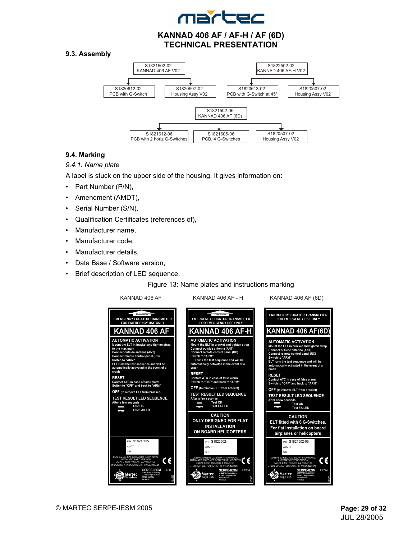

#### <span id="page-34-0"></span>**9.3. Assembly**



#### <span id="page-34-1"></span>**9.4. Marking**

<span id="page-34-2"></span>*9.4.1. Name plate*

A label is stuck on the upper side of the housing. It gives information on:

- Part Number (P/N),
- Amendment (AMDT),
- Serial Number (S/N),
- Qualification Certificates (references of),
- Manufacturer name,
- Manufacturer code.
- Manufacturer details.
- Data Base / Software version,
- Brief description of LED sequence.

Figure 13: Name plates and instructions marking

KANNAD 406 AF KANNAD 406 AF - H KANNAD 406 AF (6D) **EMERGENCY LOCATOR TRANSMITTER Flight direction Flight direction EMERGENCY LOCATOR TRANSMITTER FOR EMERGENCY USE ONLY EMERGENCY LOCATOR TRANSMITTER FOR EMERGENCY USE ONLY ERGENCY USE ONLY KANNAD 406 AF KANNAD 406 AF(6D) KANNAD 406 AF-H AUTOMATIC ACTIVATION AUTOMATIC ACTIVATION AUTOMATIC ACTIVATION Mount the ELT in bracket and tighten strap Mount the FLT in bracket and tight**<br>ct outside antenna (ANT) **Mount the ELT in bracket and tighten strap to the maximum Connect outside antenna (ANT) Connect remote control panel (RC) Connect outside antenna (ANT) Connect remote control panel (RC) Connect outside antenna (ANT) control panel (RC) Switch to "ARM" Switch to "ARM" ELT runs the test sequence and will be automatically activated in the event of a Switch to "ARM" ELT runs the test sequence and will be automatically activated in the event of a ELT runs the test sequence and will be automatically activated in the event of a crash crash crash RESET RESET RESET Contact ATC in case of false alarm Switch to "OFF" and back to "ARM" Contact ATC in case of false alarm Switch to "OFF" and back to "ARM" Contact ATC in case of false alarm Switch to "OFF" and back to "ARM" OFF** (to remove ELT from bra **OFF (to remove ELT from bracket) OFF (to remove ELT from bracket) TEST RESULT LED SEQUENCE TEST RESULT LED SEQUENCE After a few seconds TEST RESULT LED SEQUENCE After a few seconds** er a few **Test OK Test FAILED Test OK Test FAILED Test OK Test FAILED CAUTION CAUTION ONLY DESIGNED FOR FLAT ELT fitted with 6 G-Switches. INSTALLATION For flat installation on board ON BOARD HELICOPTERS airplanes or helicopters** P/N : S1821502- P/N : S1822502- P/N : S1821502-06 AMDT : AMDT : AMDT :  $\frac{1}{2}$  $S/N$ S/N : COSPAS-SARSAT CATEGORY II APPROVAL  $\epsilon$ COSPAS-SARSAT CATEGORY II APPROVAL  $\epsilon$ COSPAS-SARSAT CATEGORY II APPROVAL AUTOMATIC FIXED VERSION AUTOMATIC FIXED VERSION FOR HELICOPTERS AUTOMATIC FIXED VERSION QAC23 ED62 TSO-C91a & TSO-C126 QAC23 ED62 TSO-C91a & TSO-C126 QAC23 ED62 TSO-C91a & TSO-C126 JTSO-2C91a & JTSO-2C126 - IC: 1159A-12208AF JTSO-2C91a & JTSO-2C126 - IC: 1159A-12208AF JTSO-2C91a & JTSO-2C126 - IC: 1159A-12208AF F 8794 **F8794 F8794 SERPE-IESM SERPE-IESM a MARTEC subsidiary SERPE-IESM** Aartec **Martec** Martec **A MARTEC subsidiary a MARTEC subsidiary Z.I des Cinq Chemins Z.I des Cinq Chemins Z.I des Cinq Chemins** 1329E 1330E **56520 GUIDEL 56520 GUIDEL 56520 GUIDEL FRANCE FRANCE FRANCE**

1758B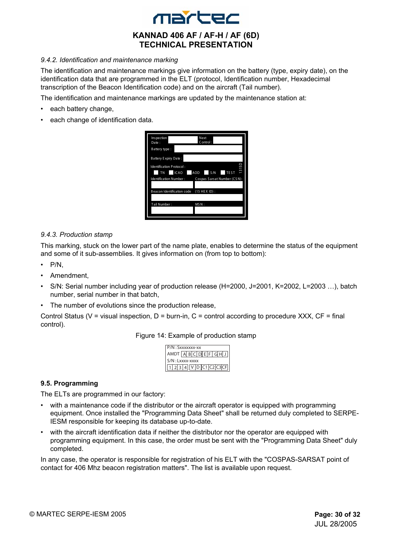

#### <span id="page-35-0"></span>*9.4.2. Identification and maintenance marking*

The identification and maintenance markings give information on the battery (type, expiry date), on the identification data that are programmed in the ELT (protocol, Identification number, Hexadecimal transcription of the Beacon Identification code) and on the aircraft (Tail number).

The identification and maintenance markings are updated by the maintenance station at:

- each battery change,
- each change of identification data.

| Inspection<br>Date:                     | Next<br>Control:                 |
|-----------------------------------------|----------------------------------|
| Battery type:                           |                                  |
| <b>Battery Expiry Date:</b>             |                                  |
| Identification Protocol:                | 1315D                            |
| <b>ICAO</b><br>ΤN                       | <b>AOD</b><br><b>TEST</b><br>S/M |
| Identification Number:                  | Cospas Sarsat Number (CSN):      |
| Beacon Identification code (15 HEX ID): |                                  |
| Tail Number:                            | MSN:                             |

#### <span id="page-35-1"></span>*9.4.3. Production stamp*

This marking, stuck on the lower part of the name plate, enables to determine the status of the equipment and some of it sub-assemblies. It gives information on (from top to bottom):

- $\cdot$  P/N.
- Amendment,
- S/N: Serial number including year of production release (H=2000, J=2001, K=2002, L=2003 ...), batch number, serial number in that batch,
- The number of evolutions since the production release,

Control Status ( $V =$  visual inspection,  $D =$  burn-in,  $C =$  control according to procedure XXX,  $CF =$  final control).

Figure 14: Example of production stamp

|                | P/N: Sxxxxxxx-xx                                       |  |  |  |
|----------------|--------------------------------------------------------|--|--|--|
|                | $AMDT$ $A$ $B$ $C$ $D$ $E$ $F$ $G$ $H$ $J$ $\parallel$ |  |  |  |
| S/N:Lxxxx-xxxx |                                                        |  |  |  |
|                | 1 2 3 4 V D C1 C2 C3 CF                                |  |  |  |

#### <span id="page-35-2"></span>**9.5. Programming**

The ELTs are programmed in our factory:

- with a maintenance code if the distributor or the aircraft operator is equipped with programming equipment. Once installed the "Programming Data Sheet" shall be returned duly completed to SERPE-IESM responsible for keeping its database up-to-date.
- with the aircraft identification data if neither the distributor nor the operator are equipped with programming equipment. In this case, the order must be sent with the "Programming Data Sheet" duly completed.

In any case, the operator is responsible for registration of his ELT with the "COSPAS-SARSAT point of contact for 406 Mhz beacon registration matters". The list is available upon request.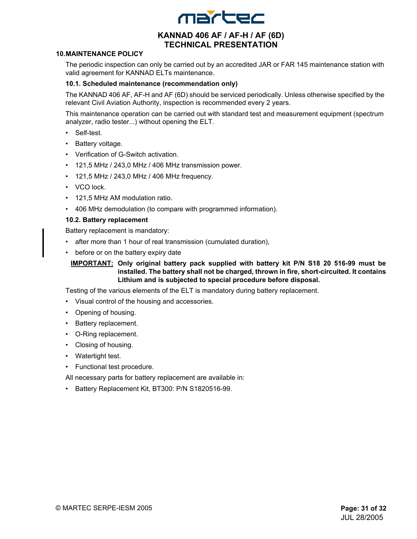

#### <span id="page-36-0"></span>**10.MAINTENANCE POLICY**

The periodic inspection can only be carried out by an accredited JAR or FAR 145 maintenance station with valid agreement for KANNAD ELTs maintenance.

#### <span id="page-36-1"></span>**10.1. Scheduled maintenance (recommendation only)**

The KANNAD 406 AF, AF-H and AF (6D) should be serviced periodically. Unless otherwise specified by the relevant Civil Aviation Authority, inspection is recommended every 2 years.

This maintenance operation can be carried out with standard test and measurement equipment (spectrum analyzer, radio tester...) without opening the ELT.

- Self-test.
- Battery voltage.
- Verification of G-Switch activation.
- 121,5 MHz / 243,0 MHz / 406 MHz transmission power.
- 121,5 MHz / 243,0 MHz / 406 MHz frequency.
- VCO lock.
- 121,5 MHz AM modulation ratio.
- 406 MHz demodulation (to compare with programmed information).

#### <span id="page-36-2"></span>**10.2. Battery replacement**

Battery replacement is mandatory:

- after more than 1 hour of real transmission (cumulated duration),
- before or on the battery expiry date

**IMPORTANT: Only original battery pack supplied with battery kit P/N S18 20 516-99 must be installed. The battery shall not be charged, thrown in fire, short-circuited. It contains Lithium and is subjected to special procedure before disposal.**

Testing of the various elements of the ELT is mandatory during battery replacement.

- Visual control of the housing and accessories.
- Opening of housing.
- Battery replacement.
- O-Ring replacement.
- Closing of housing.
- Watertight test.
- Functional test procedure.

All necessary parts for battery replacement are available in:

• Battery Replacement Kit, BT300: P/N S1820516-99.